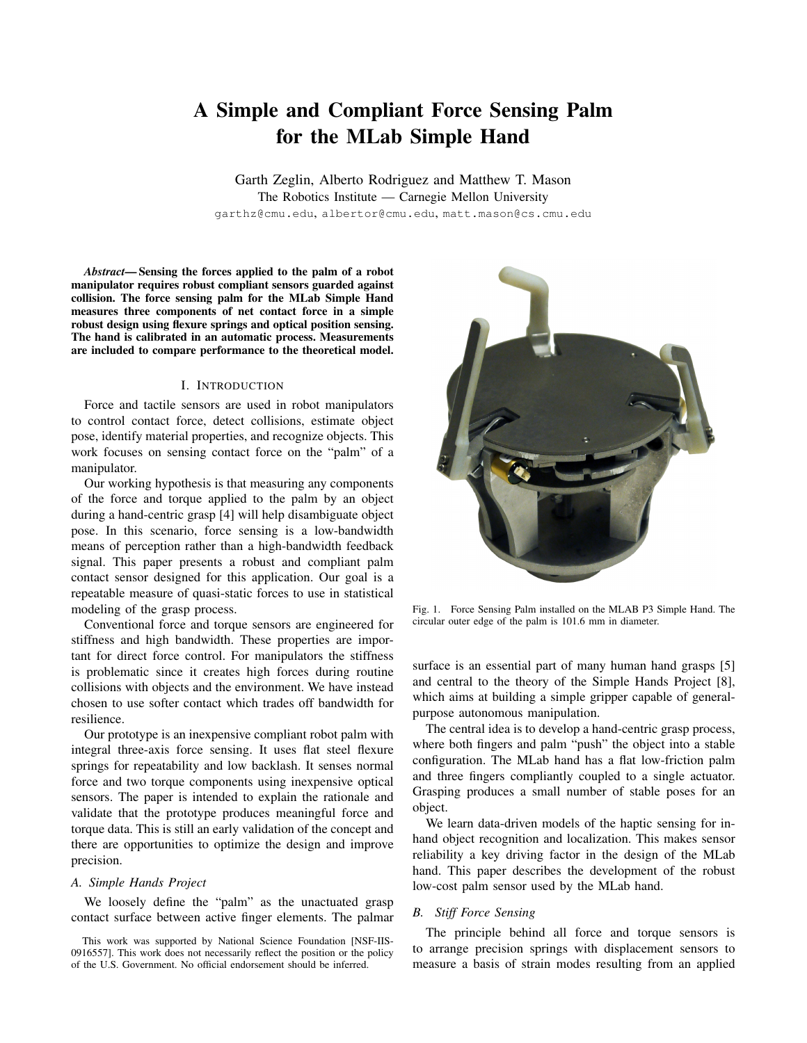# A Simple and Compliant Force Sensing Palm for the MLab Simple Hand

Garth Zeglin, Alberto Rodriguez and Matthew T. Mason The Robotics Institute — Carnegie Mellon University garthz@cmu.edu, albertor@cmu.edu, matt.mason@cs.cmu.edu

*Abstract*— Sensing the forces applied to the palm of a robot manipulator requires robust compliant sensors guarded against collision. The force sensing palm for the MLab Simple Hand measures three components of net contact force in a simple robust design using flexure springs and optical position sensing. The hand is calibrated in an automatic process. Measurements are included to compare performance to the theoretical model.

### I. INTRODUCTION

Force and tactile sensors are used in robot manipulators to control contact force, detect collisions, estimate object pose, identify material properties, and recognize objects. This work focuses on sensing contact force on the "palm" of a manipulator.

Our working hypothesis is that measuring any components of the force and torque applied to the palm by an object during a hand-centric grasp [4] will help disambiguate object pose. In this scenario, force sensing is a low-bandwidth means of perception rather than a high-bandwidth feedback signal. This paper presents a robust and compliant palm contact sensor designed for this application. Our goal is a repeatable measure of quasi-static forces to use in statistical modeling of the grasp process.

Conventional force and torque sensors are engineered for stiffness and high bandwidth. These properties are important for direct force control. For manipulators the stiffness is problematic since it creates high forces during routine collisions with objects and the environment. We have instead chosen to use softer contact which trades off bandwidth for resilience.

Our prototype is an inexpensive compliant robot palm with integral three-axis force sensing. It uses flat steel flexure springs for repeatability and low backlash. It senses normal force and two torque components using inexpensive optical sensors. The paper is intended to explain the rationale and validate that the prototype produces meaningful force and torque data. This is still an early validation of the concept and there are opportunities to optimize the design and improve precision.

# *A. Simple Hands Project*

We loosely define the "palm" as the unactuated grasp contact surface between active finger elements. The palmar



Fig. 1. Force Sensing Palm installed on the MLAB P3 Simple Hand. The circular outer edge of the palm is 101.6 mm in diameter.

surface is an essential part of many human hand grasps [5] and central to the theory of the Simple Hands Project [8], which aims at building a simple gripper capable of generalpurpose autonomous manipulation.

The central idea is to develop a hand-centric grasp process, where both fingers and palm "push" the object into a stable configuration. The MLab hand has a flat low-friction palm and three fingers compliantly coupled to a single actuator. Grasping produces a small number of stable poses for an object.

We learn data-driven models of the haptic sensing for inhand object recognition and localization. This makes sensor reliability a key driving factor in the design of the MLab hand. This paper describes the development of the robust low-cost palm sensor used by the MLab hand.

# *B. Stiff Force Sensing*

The principle behind all force and torque sensors is to arrange precision springs with displacement sensors to measure a basis of strain modes resulting from an applied

This work was supported by National Science Foundation [NSF-IIS-0916557]. This work does not necessarily reflect the position or the policy of the U.S. Government. No official endorsement should be inferred.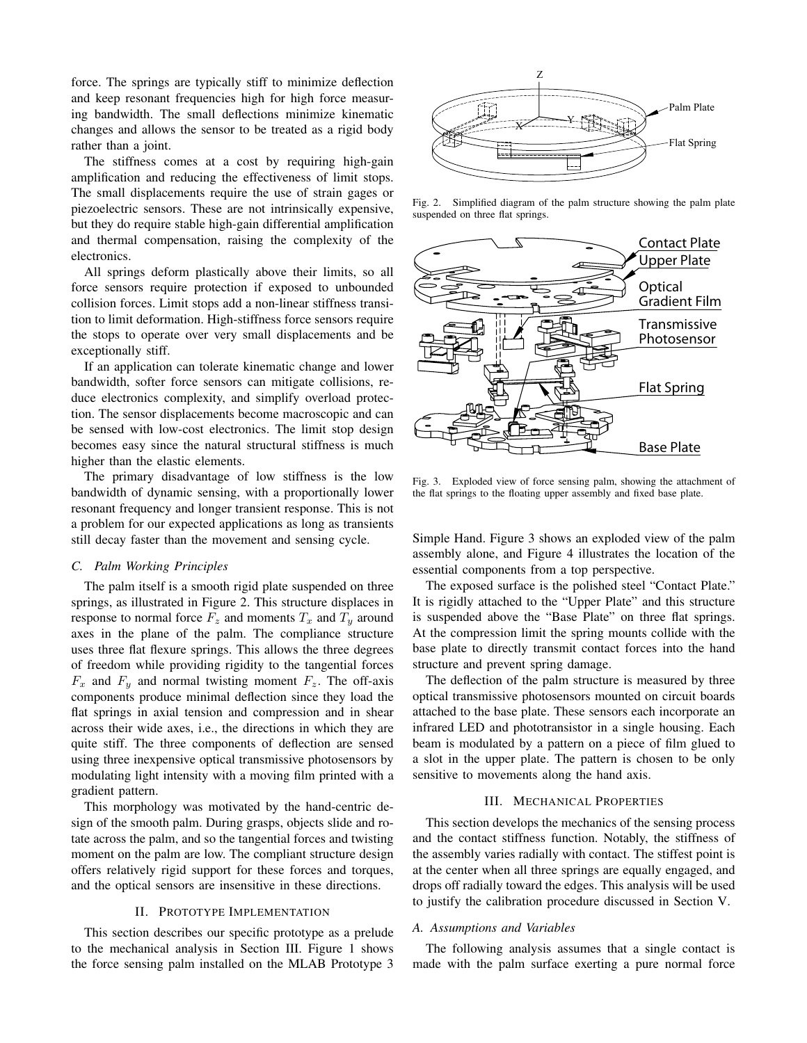force. The springs are typically stiff to minimize deflection and keep resonant frequencies high for high force measuring bandwidth. The small deflections minimize kinematic changes and allows the sensor to be treated as a rigid body rather than a joint.

The stiffness comes at a cost by requiring high-gain amplification and reducing the effectiveness of limit stops. The small displacements require the use of strain gages or piezoelectric sensors. These are not intrinsically expensive, but they do require stable high-gain differential amplification and thermal compensation, raising the complexity of the electronics.

All springs deform plastically above their limits, so all force sensors require protection if exposed to unbounded collision forces. Limit stops add a non-linear stiffness transition to limit deformation. High-stiffness force sensors require the stops to operate over very small displacements and be exceptionally stiff.

If an application can tolerate kinematic change and lower bandwidth, softer force sensors can mitigate collisions, reduce electronics complexity, and simplify overload protection. The sensor displacements become macroscopic and can be sensed with low-cost electronics. The limit stop design becomes easy since the natural structural stiffness is much higher than the elastic elements.

The primary disadvantage of low stiffness is the low bandwidth of dynamic sensing, with a proportionally lower resonant frequency and longer transient response. This is not a problem for our expected applications as long as transients still decay faster than the movement and sensing cycle.

### *C. Palm Working Principles*

The palm itself is a smooth rigid plate suspended on three springs, as illustrated in Figure 2. This structure displaces in response to normal force  $F_z$  and moments  $T_x$  and  $T_y$  around axes in the plane of the palm. The compliance structure uses three flat flexure springs. This allows the three degrees of freedom while providing rigidity to the tangential forces  $F_x$  and  $F_y$  and normal twisting moment  $F_z$ . The off-axis components produce minimal deflection since they load the flat springs in axial tension and compression and in shear across their wide axes, i.e., the directions in which they are quite stiff. The three components of deflection are sensed using three inexpensive optical transmissive photosensors by modulating light intensity with a moving film printed with a gradient pattern.

This morphology was motivated by the hand-centric design of the smooth palm. During grasps, objects slide and rotate across the palm, and so the tangential forces and twisting moment on the palm are low. The compliant structure design offers relatively rigid support for these forces and torques, and the optical sensors are insensitive in these directions.

### II. PROTOTYPE IMPLEMENTATION

This section describes our specific prototype as a prelude to the mechanical analysis in Section III. Figure 1 shows the force sensing palm installed on the MLAB Prototype 3



Fig. 2. Simplified diagram of the palm structure showing the palm plate suspended on three flat springs.



Fig. 3. Exploded view of force sensing palm, showing the attachment of the flat springs to the floating upper assembly and fixed base plate.

Simple Hand. Figure 3 shows an exploded view of the palm assembly alone, and Figure 4 illustrates the location of the essential components from a top perspective.

The exposed surface is the polished steel "Contact Plate." It is rigidly attached to the "Upper Plate" and this structure is suspended above the "Base Plate" on three flat springs. At the compression limit the spring mounts collide with the base plate to directly transmit contact forces into the hand structure and prevent spring damage.

The deflection of the palm structure is measured by three optical transmissive photosensors mounted on circuit boards attached to the base plate. These sensors each incorporate an infrared LED and phototransistor in a single housing. Each beam is modulated by a pattern on a piece of film glued to a slot in the upper plate. The pattern is chosen to be only sensitive to movements along the hand axis.

## III. MECHANICAL PROPERTIES

This section develops the mechanics of the sensing process and the contact stiffness function. Notably, the stiffness of the assembly varies radially with contact. The stiffest point is at the center when all three springs are equally engaged, and drops off radially toward the edges. This analysis will be used to justify the calibration procedure discussed in Section V.

### *A. Assumptions and Variables*

The following analysis assumes that a single contact is made with the palm surface exerting a pure normal force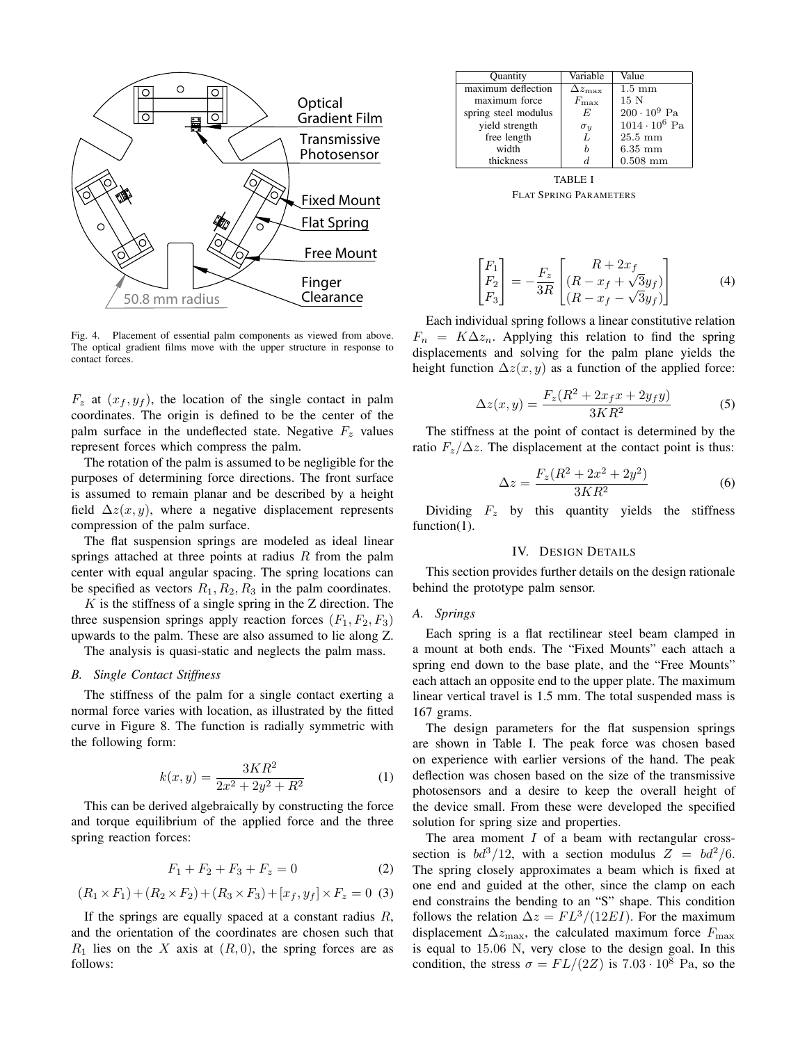

Fig. 4. Placement of essential palm components as viewed from above. The optical gradient films move with the upper structure in response to contact forces.

 $F_z$  at  $(x_f, y_f)$ , the location of the single contact in palm coordinates. The origin is defined to be the center of the palm surface in the undeflected state. Negative  $F<sub>z</sub>$  values represent forces which compress the palm.

The rotation of the palm is assumed to be negligible for the purposes of determining force directions. The front surface is assumed to remain planar and be described by a height field  $\Delta z(x, y)$ , where a negative displacement represents compression of the palm surface.

The flat suspension springs are modeled as ideal linear springs attached at three points at radius  $R$  from the palm center with equal angular spacing. The spring locations can be specified as vectors  $R_1, R_2, R_3$  in the palm coordinates.

 $K$  is the stiffness of a single spring in the Z direction. The three suspension springs apply reaction forces  $(F_1, F_2, F_3)$ upwards to the palm. These are also assumed to lie along Z.

The analysis is quasi-static and neglects the palm mass.

# *B. Single Contact Stiffness*

The stiffness of the palm for a single contact exerting a normal force varies with location, as illustrated by the fitted curve in Figure 8. The function is radially symmetric with the following form:

$$
k(x,y) = \frac{3KR^2}{2x^2 + 2y^2 + R^2}
$$
 (1)

This can be derived algebraically by constructing the force and torque equilibrium of the applied force and the three spring reaction forces:

$$
F_1 + F_2 + F_3 + F_z = 0 \tag{2}
$$

$$
(R_1 \times F_1) + (R_2 \times F_2) + (R_3 \times F_3) + [x_f, y_f] \times F_z = 0
$$
 (3)

If the springs are equally spaced at a constant radius  $R$ , and the orientation of the coordinates are chosen such that  $R_1$  lies on the X axis at  $(R, 0)$ , the spring forces are as follows:

| <b>Ouantity</b>      | Variable             | Value                |
|----------------------|----------------------|----------------------|
| maximum deflection   | $\Delta z_{\rm max}$ | $1.5 \text{ mm}$     |
| maximum force        | $F_{\rm max}$        | 15 N                 |
| spring steel modulus | E                    | $200 \cdot 10^9$ Pa  |
| yield strength       | $\sigma_y$           | $1014 \cdot 10^6$ Pa |
| free length          |                      | $25.5 \text{ mm}$    |
| width                |                      | $6.35$ mm            |
| thickness            |                      | $0.508$ mm           |

TABLE I FLAT SPRING PARAMETERS

$$
\begin{bmatrix} F_1 \\ F_2 \\ F_3 \end{bmatrix} = -\frac{F_z}{3R} \begin{bmatrix} R + 2x_f \\ (R - x_f + \sqrt{3}y_f) \\ (R - x_f - \sqrt{3}y_f) \end{bmatrix}
$$
 (4)

Each individual spring follows a linear constitutive relation  $F_n = K \Delta z_n$ . Applying this relation to find the spring displacements and solving for the palm plane yields the height function  $\Delta z(x, y)$  as a function of the applied force:

$$
\Delta z(x,y) = \frac{F_z(R^2 + 2x_f x + 2y_f y)}{3KR^2}
$$
 (5)

The stiffness at the point of contact is determined by the ratio  $F_z/\Delta z$ . The displacement at the contact point is thus:

$$
\Delta z = \frac{F_z (R^2 + 2x^2 + 2y^2)}{3KR^2}
$$
 (6)

Dividing  $F<sub>z</sub>$  by this quantity yields the stiffness function(1).

### IV. DESIGN DETAILS

This section provides further details on the design rationale behind the prototype palm sensor.

### *A. Springs*

Each spring is a flat rectilinear steel beam clamped in a mount at both ends. The "Fixed Mounts" each attach a spring end down to the base plate, and the "Free Mounts" each attach an opposite end to the upper plate. The maximum linear vertical travel is 1.5 mm. The total suspended mass is 167 grams.

The design parameters for the flat suspension springs are shown in Table I. The peak force was chosen based on experience with earlier versions of the hand. The peak deflection was chosen based on the size of the transmissive photosensors and a desire to keep the overall height of the device small. From these were developed the specified solution for spring size and properties.

The area moment  $I$  of a beam with rectangular crosssection is  $bd^3/12$ , with a section modulus  $Z = bd^2/6$ . The spring closely approximates a beam which is fixed at one end and guided at the other, since the clamp on each end constrains the bending to an "S" shape. This condition follows the relation  $\Delta z = FL^3/(12EI)$ . For the maximum displacement  $\Delta z_{\text{max}}$ , the calculated maximum force  $F_{\text{max}}$ is equal to 15.06 N, very close to the design goal. In this condition, the stress  $\sigma = FL/(2Z)$  is  $7.03 \cdot 10^8$  Pa, so the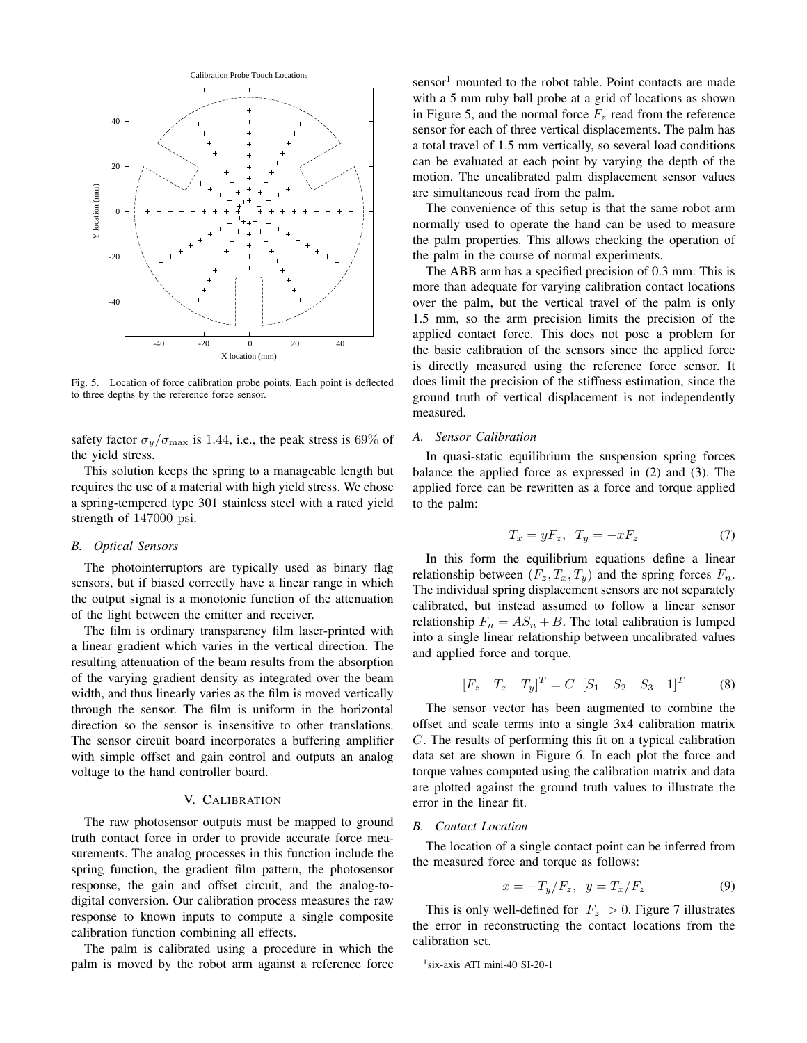

Fig. 5. Location of force calibration probe points. Each point is deflected to three depths by the reference force sensor.

safety factor  $\sigma_y/\sigma_{\text{max}}$  is 1.44, i.e., the peak stress is 69% of the yield stress.

This solution keeps the spring to a manageable length but requires the use of a material with high yield stress. We chose a spring-tempered type 301 stainless steel with a rated yield strength of 147000 psi.

### *B. Optical Sensors*

The photointerruptors are typically used as binary flag sensors, but if biased correctly have a linear range in which the output signal is a monotonic function of the attenuation of the light between the emitter and receiver.

The film is ordinary transparency film laser-printed with a linear gradient which varies in the vertical direction. The resulting attenuation of the beam results from the absorption of the varying gradient density as integrated over the beam width, and thus linearly varies as the film is moved vertically through the sensor. The film is uniform in the horizontal direction so the sensor is insensitive to other translations. The sensor circuit board incorporates a buffering amplifier with simple offset and gain control and outputs an analog voltage to the hand controller board.

### V. CALIBRATION

The raw photosensor outputs must be mapped to ground truth contact force in order to provide accurate force measurements. The analog processes in this function include the spring function, the gradient film pattern, the photosensor response, the gain and offset circuit, and the analog-todigital conversion. Our calibration process measures the raw response to known inputs to compute a single composite calibration function combining all effects.

The palm is calibrated using a procedure in which the palm is moved by the robot arm against a reference force  $sensor<sup>1</sup>$  mounted to the robot table. Point contacts are made with a 5 mm ruby ball probe at a grid of locations as shown in Figure 5, and the normal force  $F<sub>z</sub>$  read from the reference sensor for each of three vertical displacements. The palm has a total travel of 1.5 mm vertically, so several load conditions can be evaluated at each point by varying the depth of the motion. The uncalibrated palm displacement sensor values are simultaneous read from the palm.

The convenience of this setup is that the same robot arm normally used to operate the hand can be used to measure the palm properties. This allows checking the operation of the palm in the course of normal experiments.

The ABB arm has a specified precision of 0.3 mm. This is more than adequate for varying calibration contact locations over the palm, but the vertical travel of the palm is only 1.5 mm, so the arm precision limits the precision of the applied contact force. This does not pose a problem for the basic calibration of the sensors since the applied force is directly measured using the reference force sensor. It does limit the precision of the stiffness estimation, since the ground truth of vertical displacement is not independently measured.

# *A. Sensor Calibration*

In quasi-static equilibrium the suspension spring forces balance the applied force as expressed in (2) and (3). The applied force can be rewritten as a force and torque applied to the palm:

$$
T_x = yF_z, \quad T_y = -xF_z \tag{7}
$$

In this form the equilibrium equations define a linear relationship between  $(F_z, T_x, T_y)$  and the spring forces  $F_n$ . The individual spring displacement sensors are not separately calibrated, but instead assumed to follow a linear sensor relationship  $F_n = AS_n + B$ . The total calibration is lumped into a single linear relationship between uncalibrated values and applied force and torque.

$$
[F_z \quad T_x \quad T_y]^T = C \quad [S_1 \quad S_2 \quad S_3 \quad 1]^T \tag{8}
$$

The sensor vector has been augmented to combine the offset and scale terms into a single 3x4 calibration matrix C. The results of performing this fit on a typical calibration data set are shown in Figure 6. In each plot the force and torque values computed using the calibration matrix and data are plotted against the ground truth values to illustrate the error in the linear fit.

# *B. Contact Location*

The location of a single contact point can be inferred from the measured force and torque as follows:

$$
x = -T_y/F_z, \quad y = T_x/F_z \tag{9}
$$

This is only well-defined for  $|F_z| > 0$ . Figure 7 illustrates the error in reconstructing the contact locations from the calibration set.

```
1
six-axis ATI mini-40 SI-20-1
```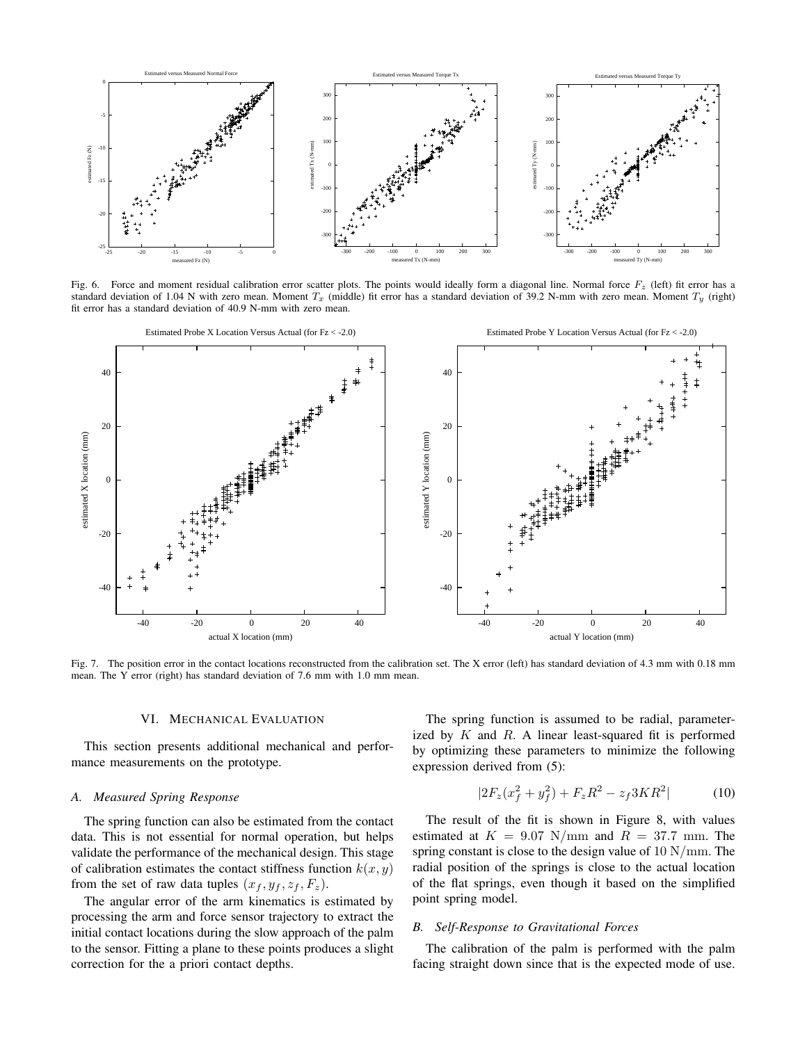

Fig. 6. Force and moment residual calibration error scatter plots. The points would ideally form a diagonal line. Normal force  $F<sub>z</sub>$  (left) fit error has a standard deviation of 1.04 N with zero mean. Moment  $T_x$  (middle) fit error has a standard deviation of 39.2 N-mm with zero mean. Moment  $T_y$  (right) fit error has a standard deviation of 40.9 N-mm with zero mean.



Fig. 7. The position error in the contact locations reconstructed from the calibration set. The X error (left) has standard deviation of 4.3 mm with 0.18 mm mean. The Y error (right) has standard deviation of 7.6 mm with 1.0 mm mean.

### VI. MECHANICAL EVALUATION

This section presents additional mechanical and performance measurements on the prototype.

### *A. Measured Spring Response*

The spring function can also be estimated from the contact data. This is not essential for normal operation, but helps validate the performance of the mechanical design. This stage of calibration estimates the contact stiffness function  $k(x, y)$ from the set of raw data tuples  $(x_f, y_f, z_f, F_z)$ .

The angular error of the arm kinematics is estimated by processing the arm and force sensor trajectory to extract the initial contact locations during the slow approach of the palm to the sensor. Fitting a plane to these points produces a slight correction for the a priori contact depths.

The spring function is assumed to be radial, parameterized by  $K$  and  $R$ . A linear least-squared fit is performed by optimizing these parameters to minimize the following expression derived from (5):

$$
|2F_z(x_f^2 + y_f^2) + F_z R^2 - z_f 3KR^2| \tag{10}
$$

The result of the fit is shown in Figure 8, with values estimated at  $K = 9.07$  N/mm and  $R = 37.7$  mm. The spring constant is close to the design value of 10 N/mm. The radial position of the springs is close to the actual location of the flat springs, even though it based on the simplified point spring model.

### *B. Self-Response to Gravitational Forces*

The calibration of the palm is performed with the palm facing straight down since that is the expected mode of use.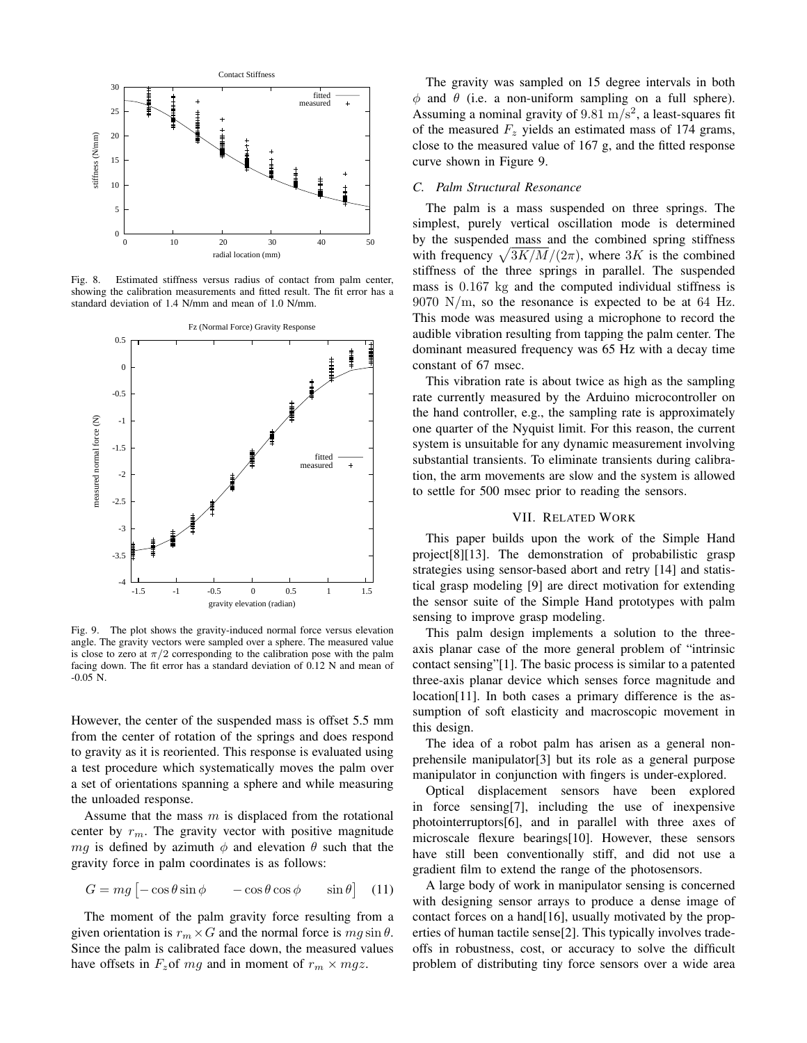

Fig. 8. Estimated stiffness versus radius of contact from palm center, showing the calibration measurements and fitted result. The fit error has a standard deviation of 1.4 N/mm and mean of 1.0 N/mm.



Fig. 9. The plot shows the gravity-induced normal force versus elevation angle. The gravity vectors were sampled over a sphere. The measured value is close to zero at  $\pi/2$  corresponding to the calibration pose with the palm facing down. The fit error has a standard deviation of 0.12 N and mean of -0.05 N.

However, the center of the suspended mass is offset 5.5 mm from the center of rotation of the springs and does respond to gravity as it is reoriented. This response is evaluated using a test procedure which systematically moves the palm over a set of orientations spanning a sphere and while measuring the unloaded response.

Assume that the mass  $m$  is displaced from the rotational center by  $r_m$ . The gravity vector with positive magnitude mg is defined by azimuth  $\phi$  and elevation  $\theta$  such that the gravity force in palm coordinates is as follows:

$$
G = mg \left[ -\cos\theta \sin\phi - \cos\theta \cos\phi - \sin\theta \right] \tag{11}
$$

The moment of the palm gravity force resulting from a given orientation is  $r_m \times G$  and the normal force is  $mg \sin \theta$ . Since the palm is calibrated face down, the measured values have offsets in  $F_z$  of mg and in moment of  $r_m \times mgz$ .

The gravity was sampled on 15 degree intervals in both  $\phi$  and  $\theta$  (i.e. a non-uniform sampling on a full sphere). Assuming a nominal gravity of  $9.81 \text{ m/s}^2$ , a least-squares fit of the measured  $F<sub>z</sub>$  yields an estimated mass of 174 grams, close to the measured value of 167 g, and the fitted response curve shown in Figure 9.

### *C. Palm Structural Resonance*

The palm is a mass suspended on three springs. The simplest, purely vertical oscillation mode is determined by the suspended mass and the combined spring stiffness with frequency  $\sqrt{3K/M}/(2\pi)$ , where 3K is the combined stiffness of the three springs in parallel. The suspended mass is 0.167 kg and the computed individual stiffness is  $9070$  N/m, so the resonance is expected to be at 64 Hz. This mode was measured using a microphone to record the audible vibration resulting from tapping the palm center. The dominant measured frequency was 65 Hz with a decay time constant of 67 msec.

This vibration rate is about twice as high as the sampling rate currently measured by the Arduino microcontroller on the hand controller, e.g., the sampling rate is approximately one quarter of the Nyquist limit. For this reason, the current system is unsuitable for any dynamic measurement involving substantial transients. To eliminate transients during calibration, the arm movements are slow and the system is allowed to settle for 500 msec prior to reading the sensors.

### VII. RELATED WORK

This paper builds upon the work of the Simple Hand project[8][13]. The demonstration of probabilistic grasp strategies using sensor-based abort and retry [14] and statistical grasp modeling [9] are direct motivation for extending the sensor suite of the Simple Hand prototypes with palm sensing to improve grasp modeling.

This palm design implements a solution to the threeaxis planar case of the more general problem of "intrinsic contact sensing"[1]. The basic process is similar to a patented three-axis planar device which senses force magnitude and location[11]. In both cases a primary difference is the assumption of soft elasticity and macroscopic movement in this design.

The idea of a robot palm has arisen as a general nonprehensile manipulator[3] but its role as a general purpose manipulator in conjunction with fingers is under-explored.

Optical displacement sensors have been explored in force sensing[7], including the use of inexpensive photointerruptors[6], and in parallel with three axes of microscale flexure bearings[10]. However, these sensors have still been conventionally stiff, and did not use a gradient film to extend the range of the photosensors.

A large body of work in manipulator sensing is concerned with designing sensor arrays to produce a dense image of contact forces on a hand[16], usually motivated by the properties of human tactile sense[2]. This typically involves tradeoffs in robustness, cost, or accuracy to solve the difficult problem of distributing tiny force sensors over a wide area